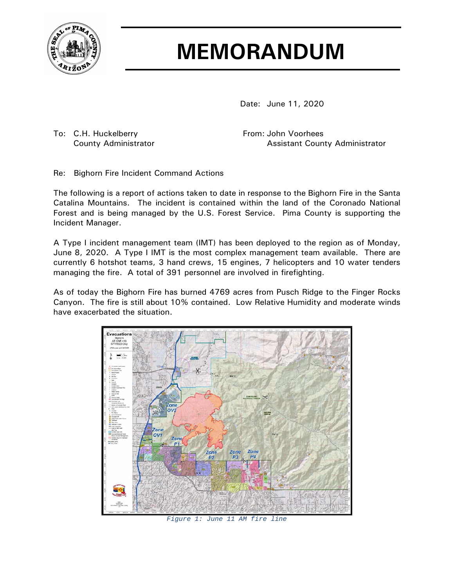

## **MEMORANDUM**

Date: June 11, 2020

To: C.H. Huckelberry **From: John Voorhees** 

County Administrator **Assistant County Administrator** Assistant County Administrator

Re: Bighorn Fire Incident Command Actions

The following is a report of actions taken to date in response to the Bighorn Fire in the Santa Catalina Mountains. The incident is contained within the land of the Coronado National Forest and is being managed by the U.S. Forest Service. Pima County is supporting the Incident Manager.

A Type I incident management team (IMT) has been deployed to the region as of Monday, June 8, 2020. A Type I IMT is the most complex management team available. There are currently 6 hotshot teams, 3 hand crews, 15 engines, 7 helicopters and 10 water tenders managing the fire. A total of 391 personnel are involved in firefighting.

As of today the Bighorn Fire has burned 4769 acres from Pusch Ridge to the Finger Rocks Canyon. The fire is still about 10% contained. Low Relative Humidity and moderate winds have exacerbated the situation.



*Figure 1: June 11 AM fire line*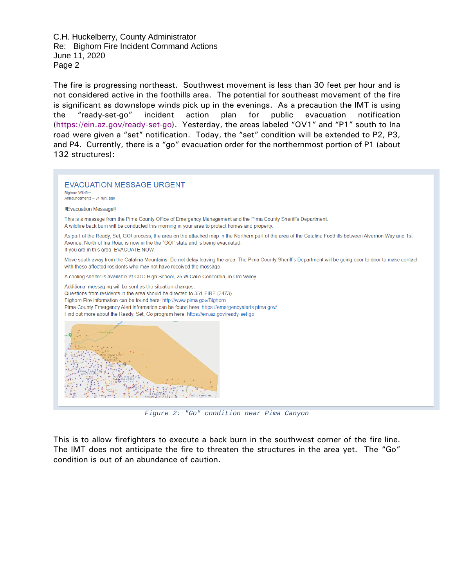The fire is progressing northeast. Southwest movement is less than 30 feet per hour and is not considered active in the foothills area. The potential for southeast movement of the fire is significant as downslope winds pick up in the evenings. As a precaution the IMT is using the "ready-set-go" incident action plan for public evacuation notification [\(https://ein.az.gov/ready-set-go\)](https://ein.az.gov/ready-set-go). Yesterday, the areas labeled "OV1" and "P1" south to Ina road were given a "set" notification. Today, the "set" condition will be extended to P2, P3, and P4. Currently, there is a "go" evacuation order for the northernmost portion of P1 (about 132 structures):



*Figure 2: "Go" condition near Pima Canyon*

This is to allow firefighters to execute a back burn in the southwest corner of the fire line. The IMT does not anticipate the fire to threaten the structures in the area yet. The "Go" condition is out of an abundance of caution.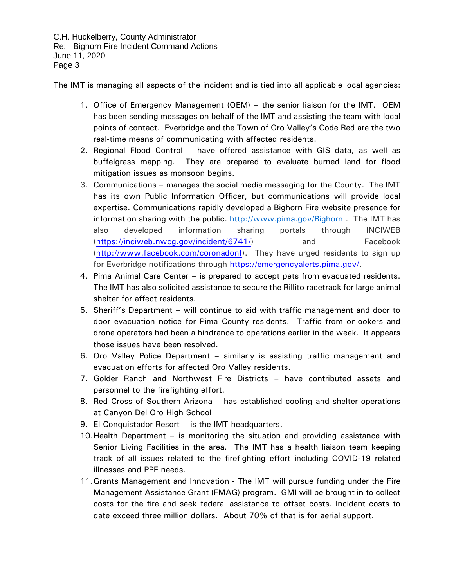The IMT is managing all aspects of the incident and is tied into all applicable local agencies:

- 1. Office of Emergency Management (OEM) the senior liaison for the IMT. OEM has been sending messages on behalf of the IMT and assisting the team with local points of contact. Everbridge and the Town of Oro Valley's Code Red are the two real-time means of communicating with affected residents.
- 2. Regional Flood Control have offered assistance with GIS data, as well as buffelgrass mapping. They are prepared to evaluate burned land for flood mitigation issues as monsoon begins.
- 3. Communications manages the social media messaging for the County. The IMT has its own Public Information Officer, but communications will provide local expertise. Communications rapidly developed a Bighorn Fire website presence for information sharing with the public. <http://www.pima.gov/Bighorn> . The IMT has also developed information sharing portals through INCIWEB [\(https://inciweb.nwcg.gov/incident/6741/\)](https://inciweb.nwcg.gov/incident/6741/) and Facebook [\(http://www.facebook.com/coronadonf\)](http://www.facebook.com/coronadonf). They have urged residents to sign up for Everbridge notifications through [https://emergencyalerts.pima.gov/.](https://emergencyalerts.pima.gov/)
- 4. Pima Animal Care Center is prepared to accept pets from evacuated residents. The IMT has also solicited assistance to secure the Rillito racetrack for large animal shelter for affect residents.
- 5. Sheriff's Department will continue to aid with traffic management and door to door evacuation notice for Pima County residents. Traffic from onlookers and drone operators had been a hindrance to operations earlier in the week. It appears those issues have been resolved.
- 6. Oro Valley Police Department similarly is assisting traffic management and evacuation efforts for affected Oro Valley residents.
- 7. Golder Ranch and Northwest Fire Districts have contributed assets and personnel to the firefighting effort.
- 8. Red Cross of Southern Arizona has established cooling and shelter operations at Canyon Del Oro High School
- 9. El Conquistador Resort is the IMT headquarters.
- 10.Health Department is monitoring the situation and providing assistance with Senior Living Facilities in the area. The IMT has a health liaison team keeping track of all issues related to the firefighting effort including COVID-19 related illnesses and PPE needs.
- 11.Grants Management and Innovation The IMT will pursue funding under the Fire Management Assistance Grant (FMAG) program. GMI will be brought in to collect costs for the fire and seek federal assistance to offset costs. Incident costs to date exceed three million dollars. About 70% of that is for aerial support.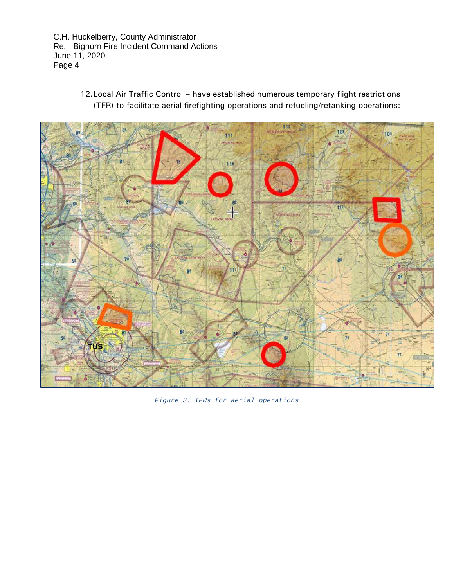> 12.Local Air Traffic Control – have established numerous temporary flight restrictions (TFR) to facilitate aerial firefighting operations and refueling/retanking operations:



*Figure 3: TFRs for aerial operations*